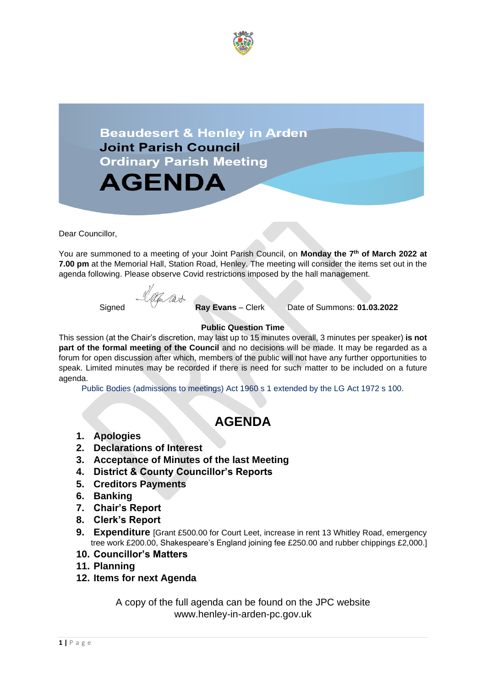



Dear Councillor,

You are summoned to a meeting of your Joint Parish Council, on **Monday the 7 th of March 2022 at 7.00 pm** at the Memorial Hall, Station Road, Henley. The meeting will consider the items set out in the agenda following. Please observe Covid restrictions imposed by the hall management.

Signed *Lat* and Ray Evans – Clerk Date of Summons: **01.03.2022** 

### **Public Question Time**

This session (at the Chair's discretion, may last up to 15 minutes overall, 3 minutes per speaker) **is not part of the formal meeting of the Council** and no decisions will be made. It may be regarded as a forum for open discussion after which, members of the public will not have any further opportunities to speak. Limited minutes may be recorded if there is need for such matter to be included on a future agenda.

Public Bodies (admissions to meetings) Act 1960 s 1 extended by the LG Act 1972 s 100.

## **AGENDA**

- **1. Apologies**
- **2. Declarations of Interest**
- **3. Acceptance of Minutes of the last Meeting**
- **4. District & County Councillor's Reports**
- **5. Creditors Payments**
- **6. Banking**
- **7. Chair's Report**
- **8. Clerk's Report**
- **9. Expenditure** [Grant £500.00 for Court Leet, increase in rent 13 Whitley Road, emergency tree work £200.00, Shakespeare's England joining fee £250.00 and rubber chippings £2,000.]
- **10. Councillor's Matters**
- **11. Planning**
- **12. Items for next Agenda**

A copy of the full agenda can be found on the JPC website www.henley-in-arden-pc.gov.uk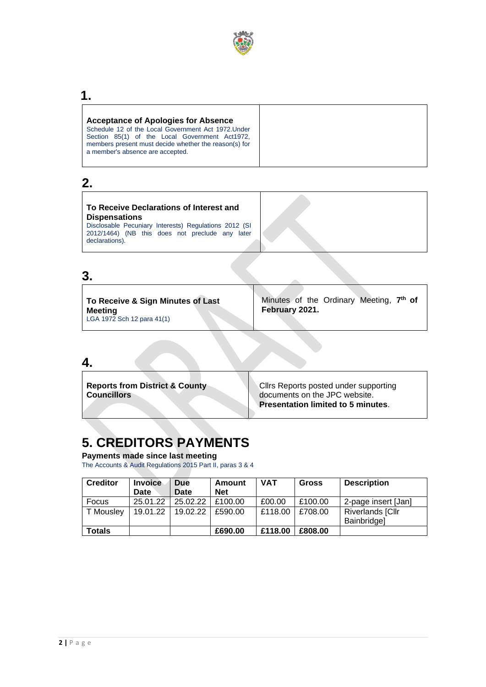

#### **Acceptance of Apologies for Absence** Schedule 12 of the Local Government Act 1972.Under Section 85(1) of the Local Government Act1972, members present must decide whether the reason(s) for a member's absence are accepted.

## **2.**

 **1.**

### **To Receive Declarations of Interest and Dispensations**

Disclosable Pecuniary Interests) Regulations 2012 (SI 2012/1464) (NB this does not preclude any later declarations).

## **3.**

**To Receive & Sign Minutes of Last Meeting** LGA 1972 Sch 12 para 41(1)

Minutes of the Ordinary Meeting, 7<sup>th</sup> of **February 2021.**

## **4.**

**Reports from District & County Councillors**

Cllrs Reports posted under supporting documents on the JPC website. **Presentation limited to 5 minutes**.

# **5. CREDITORS PAYMENTS**

**Payments made since last meeting** The Accounts & Audit Regulations 2015 Part II, paras 3 & 4

| <b>Creditor</b> | <b>Invoice</b><br><b>Date</b> | <b>Due</b><br>Date | Amount<br><b>Net</b> | <b>VAT</b> | <b>Gross</b> | <b>Description</b>                     |
|-----------------|-------------------------------|--------------------|----------------------|------------|--------------|----------------------------------------|
| Focus           | 25.01.22                      | 25.02.22           | £100.00              | £00.00     | £100.00      | 2-page insert [Jan]                    |
| T Mousley       | 19.01.22                      | 19.02.22           | £590.00              | £118.00    | £708.00      | <b>Riverlands [Cllr</b><br>Bainbridge] |
| <b>Totals</b>   |                               |                    | £690.00              | £118.00    | £808.00      |                                        |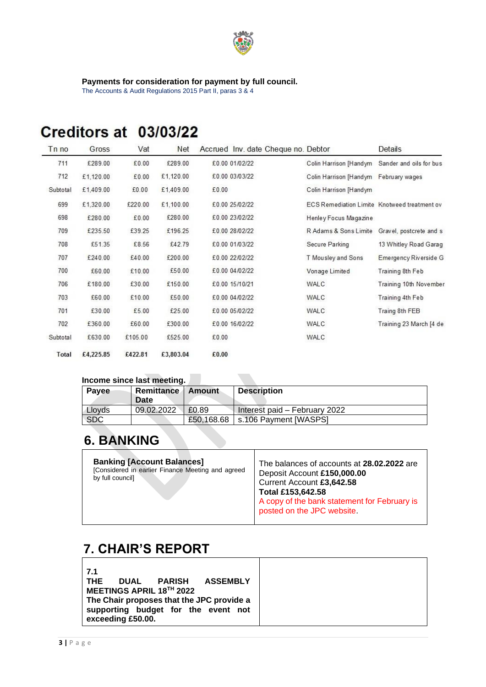

**Payments for consideration for payment by full council.**

The Accounts & Audit Regulations 2015 Part II, paras 3 & 4

# Creditors at 03/03/22

| T <sub>n</sub> no | Gross     | Vat     | Net       | Accrued Inv. date Cheque no. Debtor |                                              | Details                 |
|-------------------|-----------|---------|-----------|-------------------------------------|----------------------------------------------|-------------------------|
| 711               | £289.00   | £0.00   | £289.00   | £0.00 01/02/22                      | Colin Harrison [Handym                       | Sander and oils for bus |
| 712               | £1,120.00 | £0.00   | £1,120.00 | £0.00 03/03/22                      | Colin Harrison [Handym February wages        |                         |
| Subtotal          | £1,409.00 | £0.00   | £1,409.00 | £0.00                               | Colin Harrison [Handym                       |                         |
| 699               | £1,320.00 | £220.00 | £1,100.00 | £0.00 25/02/22                      | ECS Remediation Limite Knotweed treatment ov |                         |
| 698               | £280.00   | £0.00   | £280.00   | £0.00 23/02/22                      | Henley Focus Magazine                        |                         |
| 709               | £235.50   | £39.25  | £196.25   | £0.00 28/02/22                      | R Adams & Sons Limite                        | Gravel, postcrete and s |
| 708               | £51.35    | £8.56   | £42.79    | £0.00 01/03/22                      | Secure Parking                               | 13 Whitley Road Garag   |
| 707               | £240.00   | £40.00  | £200.00   | £0.00 22/02/22                      | T Mousley and Sons                           | Emergency Riverside G   |
| 700               | £60.00    | £10.00  | £50.00    | £0.00 04/02/22                      | Vonage Limited                               | Training 8th Feb        |
| 706               | £180.00   | £30.00  | £150.00   | £0.00 15/10/21                      | WALC                                         | Training 10th November  |
| 703               | £60.00    | £10.00  | £50.00    | £0.00 04/02/22                      | WALC                                         | Training 4th Feb        |
| 701               | £30.00    | £5.00   | £25.00    | £0.00 05/02/22                      | WALC                                         | Traing 8th FEB          |
| 702               | £360.00   | £60.00  | £300.00   | £0.00 16/02/22                      | WALC                                         | Training 23 March [4 de |
| Subtotal          | £630.00   | £105.00 | £525.00   | £0.00                               | WALC                                         |                         |
| Total             | £4,225.85 | £422.81 | £3,803.04 | £0.00                               |                                              |                         |

### **Income since last meeting.**

| <b>Pavee</b> | <b>Remittance</b><br>Date | Amount     | <b>Description</b>            |
|--------------|---------------------------|------------|-------------------------------|
| Llovds       | 09.02.2022                | £0.89      | Interest paid – February 2022 |
| <b>SDC</b>   |                           | £50,168.68 | s.106 Payment [WASPS]         |

# **6. BANKING**

| <b>Banking [Account Balances]</b><br>[Considered in earlier Finance Meeting and agreed<br>by full council] | The balances of accounts at 28.02.2022 are<br>Deposit Account £150,000.00<br>Current Account £3,642.58<br>Total £153,642.58<br>A copy of the bank statement for February is<br>posted on the JPC website. |
|------------------------------------------------------------------------------------------------------------|-----------------------------------------------------------------------------------------------------------------------------------------------------------------------------------------------------------|
|------------------------------------------------------------------------------------------------------------|-----------------------------------------------------------------------------------------------------------------------------------------------------------------------------------------------------------|

# **7. CHAIR'S REPORT**

| 7.1        |                                         |        |                                           |
|------------|-----------------------------------------|--------|-------------------------------------------|
| <b>THE</b> | <b>DUAL</b><br>MEETINGS APRIL 18TH 2022 | PARISH | <b>ASSEMBLY</b>                           |
|            |                                         |        | The Chair proposes that the JPC provide a |
|            | exceeding £50.00.                       |        | supporting budget for the event not       |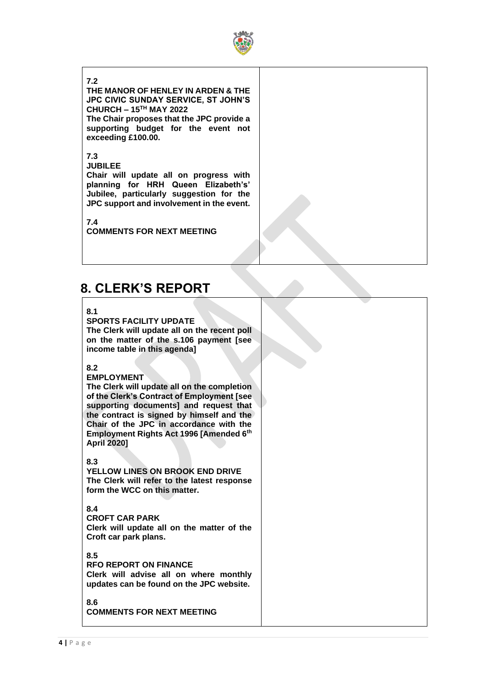

#### **7.2**

**THE MANOR OF HENLEY IN ARDEN & THE JPC CIVIC SUNDAY SERVICE, ST JOHN'S CHURCH – 15TH MAY 2022 The Chair proposes that the JPC provide a supporting budget for the event not** 

#### **7.3**

#### **JUBILEE**

**exceeding £100.00.**

**Chair will update all on progress with planning for HRH Queen Elizabeth's' Jubilee, particularly suggestion for the JPC support and involvement in the event.**

**7.4 COMMENTS FOR NEXT MEETING**

# **8. CLERK'S REPORT**

#### **8.1**

**SPORTS FACILITY UPDATE**

**The Clerk will update all on the recent poll on the matter of the s.106 payment [see income table in this agenda]** 

#### **8.2**

### **EMPLOYMENT**

**The Clerk will update all on the completion of the Clerk's Contract of Employment [see supporting documents] and request that the contract is signed by himself and the Chair of the JPC in accordance with the Employment Rights Act 1996 [Amended 6th April 2020]**

#### **8.3**

**YELLOW LINES ON BROOK END DRIVE The Clerk will refer to the latest response form the WCC on this matter.**

#### **8.4**

**CROFT CAR PARK Clerk will update all on the matter of the Croft car park plans.**

## **8.5**

**RFO REPORT ON FINANCE Clerk will advise all on where monthly updates can be found on the JPC website.**

**8.6 COMMENTS FOR NEXT MEETING**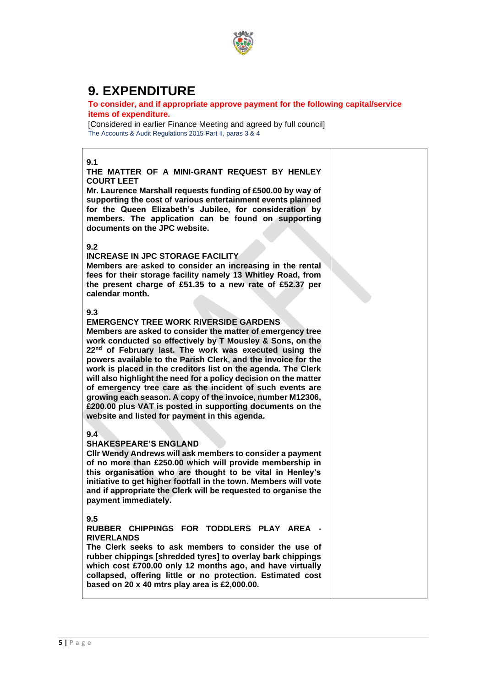

# **9. EXPENDITURE**

#### **To consider, and if appropriate approve payment for the following capital/service items of expenditure.**

[Considered in earlier Finance Meeting and agreed by full council] The Accounts & Audit Regulations 2015 Part II, paras 3 & 4

#### **9.1**

#### **THE MATTER OF A MINI-GRANT REQUEST BY HENLEY COURT LEET**

**Mr. Laurence Marshall requests funding of £500.00 by way of supporting the cost of various entertainment events planned for the Queen Elizabeth's Jubilee, for consideration by members. The application can be found on supporting documents on the JPC website.**

#### **9.2**

#### **INCREASE IN JPC STORAGE FACILITY**

**Members are asked to consider an increasing in the rental fees for their storage facility namely 13 Whitley Road, from the present charge of £51.35 to a new rate of £52.37 per calendar month.**

#### **9.3**

#### **EMERGENCY TREE WORK RIVERSIDE GARDENS**

**Members are asked to consider the matter of emergency tree work conducted so effectively by T Mousley & Sons, on the 22nd of February last. The work was executed using the powers available to the Parish Clerk, and the invoice for the work is placed in the creditors list on the agenda. The Clerk will also highlight the need for a policy decision on the matter of emergency tree care as the incident of such events are growing each season. A copy of the invoice, number M12306, £200.00 plus VAT is posted in supporting documents on the website and listed for payment in this agenda.**

### **9.4**

#### **SHAKESPEARE'S ENGLAND**

**Cllr Wendy Andrews will ask members to consider a payment of no more than £250.00 which will provide membership in this organisation who are thought to be vital in Henley's initiative to get higher footfall in the town. Members will vote and if appropriate the Clerk will be requested to organise the payment immediately.**

**9.5**

#### **RUBBER CHIPPINGS FOR TODDLERS PLAY AREA - RIVERLANDS**

**The Clerk seeks to ask members to consider the use of rubber chippings [shredded tyres] to overlay bark chippings which cost £700.00 only 12 months ago, and have virtually collapsed, offering little or no protection. Estimated cost based on 20 x 40 mtrs play area is £2,000.00.**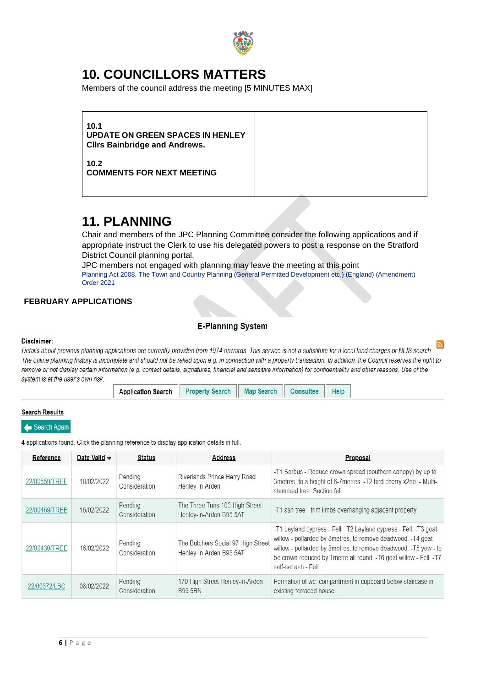

## **10. COUNCILLORS MATTERS**

Members of the council address the meeting [5 MINUTES MAX]

**10.1 UPDATE ON GREEN SPACES IN HENLEY Cllrs Bainbridge and Andrews.**

**10.2 COMMENTS FOR NEXT MEETING**

## **11. PLANNING**

Chair and members of the JPC Planning Committee consider the following applications and if appropriate instruct the Clerk to use his delegated powers to post a response on the Stratford District Council planning portal.

JPC members not engaged with planning may leave the meeting at this point Planning Act 2008, The Town and Country Planning (General Permitted Development etc.) (England) (Amendment) Order 2021

### **FEBRUARY APPLICATIONS**

### **E-Planning System**

#### Disclaimer:

Details about previous planning applications are currently provided from 1974 onwards. This service is not a substitute for a local land charges or NLIS search. The online planning history is incomplete and should not be relied upon e.g. in connection with a property transaction. In addition, the Council reserves the right to remove or not display certain information (e.g. contact details, signatures, financial and sensitive information) for confidentiality and other reasons. Use of the system is at the user's own risk.

> **Property Search Application Search Map Search** Consultee Help

#### **Search Results**

#### Search Again

4 applications found. Click the planning reference to display application details in full.

| Reference     | Date Valid w | <b>Status</b>            | <b>Address</b>                                                | Proposal                                                                                                                                                                                                                                                                                           |
|---------------|--------------|--------------------------|---------------------------------------------------------------|----------------------------------------------------------------------------------------------------------------------------------------------------------------------------------------------------------------------------------------------------------------------------------------------------|
| 22/00559/TREE | 18/02/2022   | Pending<br>Consideration | Riverlands Prince Harry Road<br>Henley-in-Arden               | -T1 Sorbus - Reduce crown spread (southern canopy) by up to<br>3metres, to a height of 6-7metres. - T2 bird cherry x2no. - Multi-<br>stemmed tree Section fell.                                                                                                                                    |
| 22/00469/TREE | 16/02/2022   | Pending<br>Consideration | The Three Tuns 103 High Street<br>Henley-in-Arden B95 5AT     | -T1 ash tree - trim limbs overhanging adjacent property.                                                                                                                                                                                                                                           |
| 22/00439/TREE | 16/02/2022   | Pending<br>Consideration | The Butchers Social 97 High Street<br>Henley-in-Arden B95 5AT | -T1 Leyland cypress - Fell. -T2 Leyland cypress - Fell. -T3 goat<br>willow - pollarded by 8metres, to remove deadwood. -T4 goat<br>willow - pollarded by 8metres, to remove deadwood. - T5 yew - to<br>be crown reduced by 1metre all round. - T6 goat willow - Fell. - T7<br>self-set ash - Fell. |
| 22/00372/LBC  | 08/02/2022   | Pending<br>Consideration | 170 High Street Henley-in-Arden<br><b>B95 5BN</b>             | Formation of wc. compartment in cupboard below staircase in<br>existing terraced house.                                                                                                                                                                                                            |